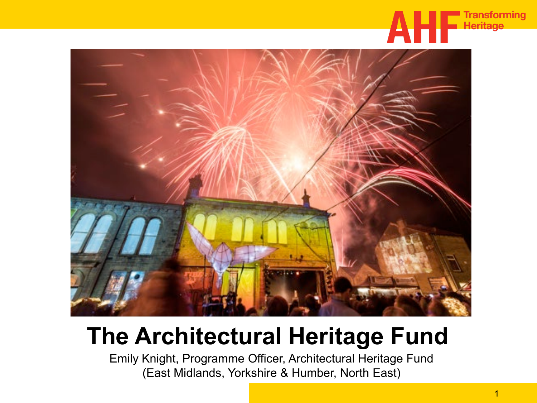



## **The Architectural Heritage Fund**

Emily Knight, Programme Officer, Architectural Heritage Fund (East Midlands, Yorkshire & Humber, North East)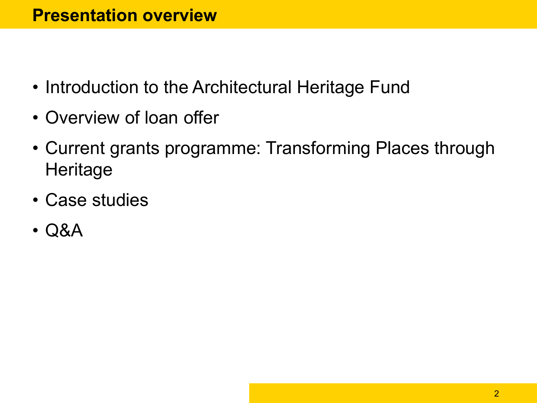- Introduction to the Architectural Heritage Fund
- Overview of loan offer
- Current grants programme: Transforming Places through **Heritage**
- Case studies
- Q&A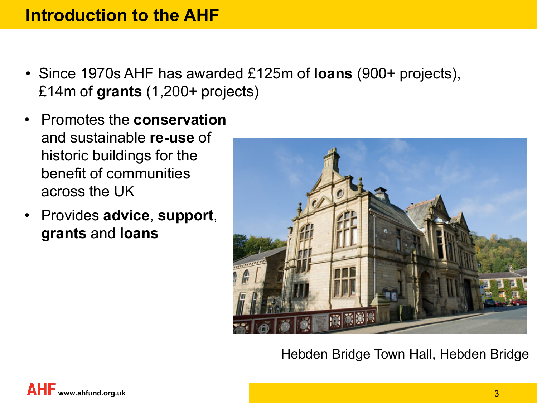## **Introduction to the AHF**

- Since 1970s AHF has awarded £125m of **loans** (900+ projects), £14m of **grants** (1,200+ projects)
- Promotes the **conservation** and sustainable **re-use** of historic buildings for the benefit of communities across the UK
- Provides **advice**, **support**, **grants** and **loans**



Hebden Bridge Town Hall, Hebden Bridge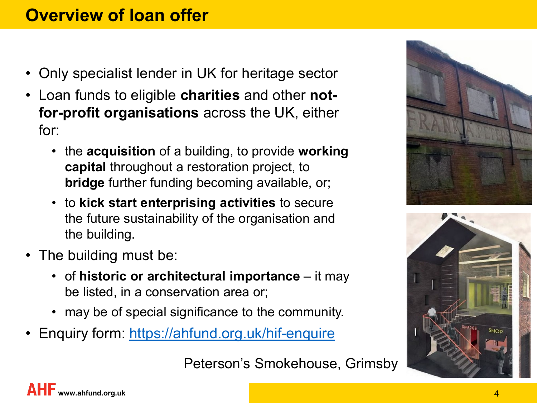## **Overview of loan offer**

- Only specialist lender in UK for heritage sector
- Loan funds to eligible **charities** and other **notfor-profit organisations** across the UK, either for:
	- the **acquisition** of a building, to provide **working capital** throughout a restoration project, to **bridge** further funding becoming available, or;
	- to **kick start enterprising activities** to secure the future sustainability of the organisation and the building.
- The building must be:
	- of **historic or architectural importance**  it may be listed, in a conservation area or;
	- may be of special significance to the community.
- Enquiry form:<https://ahfund.org.uk/hif-enquire>





Peterson's Smokehouse, Grimsby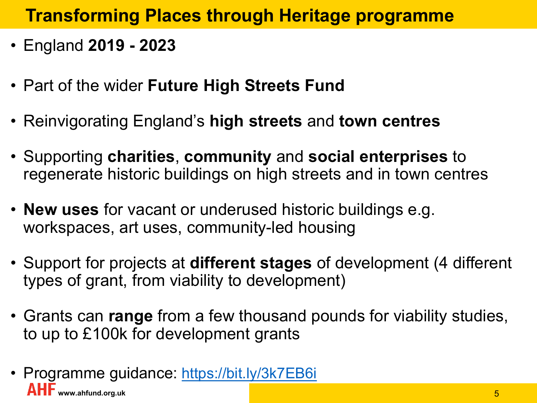## **Transforming Places through Heritage programme**

- England **2019 - 2023**
- Part of the wider **Future High Streets Fund**
- Reinvigorating England's **high streets** and **town centres**
- Supporting **charities**, **community** and **social enterprises** to regenerate historic buildings on high streets and in town centres
- **New uses** for vacant or underused historic buildings e.g. workspaces, art uses, community-led housing
- Support for projects at **different stages** of development (4 different types of grant, from viability to development)
- Grants can **range** from a few thousand pounds for viability studies, to up to £100k for development grants
- Programme guidance: <https://bit.ly/3k7EB6i> **AHF** www.ahfund.org.uk 5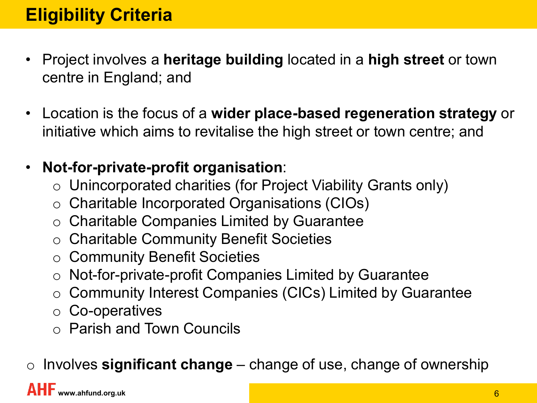- Project involves a **heritage building** located in a **high street** or town centre in England; and
- Location is the focus of a **wider place-based regeneration strategy** or initiative which aims to revitalise the high street or town centre; and
- **Not-for-private-profit organisation**:
	- o Unincorporated charities (for Project Viability Grants only)
	- o Charitable Incorporated Organisations (CIOs)
	- o Charitable Companies Limited by Guarantee
	- o Charitable Community Benefit Societies
	- o Community Benefit Societies
	- o Not-for-private-profit Companies Limited by Guarantee
	- o Community Interest Companies (CICs) Limited by Guarantee
	- o Co-operatives
	- o Parish and Town Councils

o Involves **significant change** – change of use, change of ownership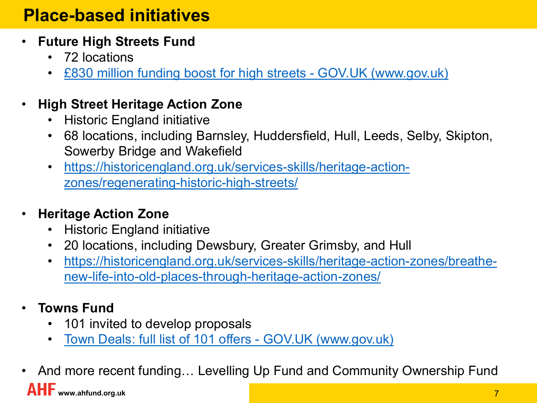## **Place-based initiatives**

- **Future High Streets Fund**
	- 72 locations
	- [£830 million funding boost for high streets -](https://www.gov.uk/government/news/830-million-funding-boost-for-high-streets) GOV.UK (www.gov.uk)

#### • **High Street Heritage Action Zone**

- Historic England initiative
- 68 locations, including Barnsley, Huddersfield, Hull, Leeds, Selby, Skipton, Sowerby Bridge and Wakefield
- [https://historicengland.org.uk/services-skills/heritage-action](https://historicengland.org.uk/services-skills/heritage-action-zones/regenerating-historic-high-streets/)[zones/regenerating-historic-high-streets/](https://historicengland.org.uk/services-skills/heritage-action-zones/regenerating-historic-high-streets/)

#### • **Heritage Action Zone**

- Historic England initiative
- 20 locations, including Dewsbury, Greater Grimsby, and Hull
- [https://historicengland.org.uk/services-skills/heritage-action-zones/breathe](https://historicengland.org.uk/services-skills/heritage-action-zones/breathe-new-life-into-old-places-through-heritage-action-zones/)[new-life-into-old-places-through-heritage-action-zones/](https://historicengland.org.uk/services-skills/heritage-action-zones/breathe-new-life-into-old-places-through-heritage-action-zones/)
- **Towns Fund**
	- 101 invited to develop proposals
	- [Town Deals: full list of 101 offers -](https://www.gov.uk/government/publications/town-deals-full-list-of-101-offers/town-deals-full-list-of-101-offers) GOV.UK (www.gov.uk)
- **AHF** www.ahfund.org.uk 7 • And more recent funding… Levelling Up Fund and Community Ownership Fund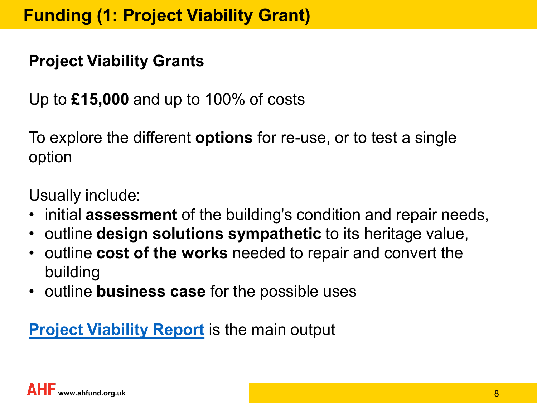## **Project Viability Grants**

Up to **£15,000** and up to 100% of costs

To explore the different **options** for re-use, or to test a single option

Usually include:

- initial **assessment** of the building's condition and repair needs,
- outline **design solutions sympathetic** to its heritage value,
- outline **cost of the works** needed to repair and convert the building
- outline **business case** for the possible uses

#### **[Project Viability Report](https://static1.squarespace.com/static/554207b8e4b01b6210bbfd56/t/5d27230b0ddee20001e35f20/1562845966717/AHF_+Project+Viability+Appraisal+guidance_2019.pdf)** is the main output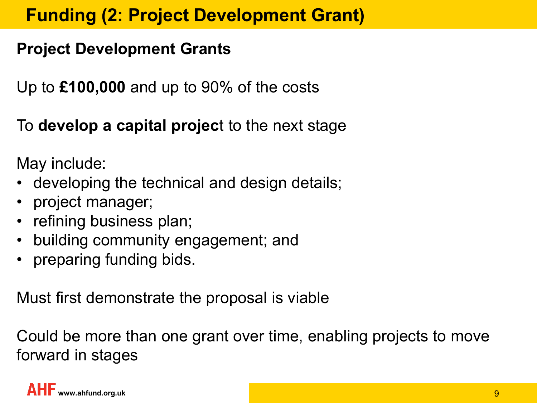## **Funding (2: Project Development Grant)**

## **Project Development Grants**

Up to **£100,000** and up to 90% of the costs

To **develop a capital projec**t to the next stage

May include:

- developing the technical and design details;
- project manager;
- refining business plan;
- building community engagement; and
- preparing funding bids.

Must first demonstrate the proposal is viable

Could be more than one grant over time, enabling projects to move forward in stages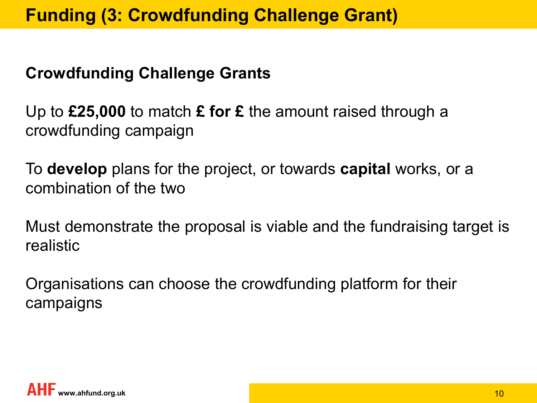## **Funding (3: Crowdfunding Challenge Grant)**

## **Crowdfunding Challenge Grants**

Up to **£25,000** to match **£ for £** the amount raised through a crowdfunding campaign

To **develop** plans for the project, or towards **capital** works, or a combination of the two

Must demonstrate the proposal is viable and the fundraising target is realistic

Organisations can choose the crowdfunding platform for their campaigns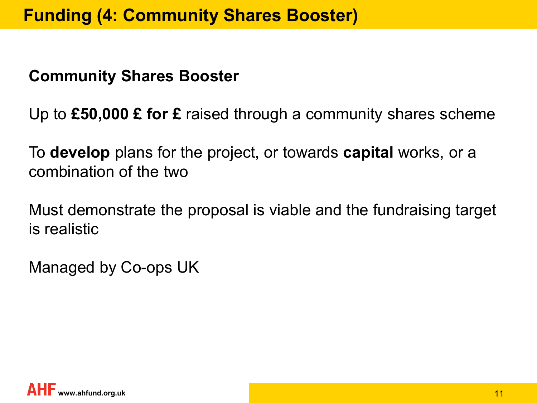#### **Community Shares Booster**

Up to **£50,000 £ for £** raised through a community shares scheme

To **develop** plans for the project, or towards **capital** works, or a combination of the two

Must demonstrate the proposal is viable and the fundraising target is realistic

Managed by Co-ops UK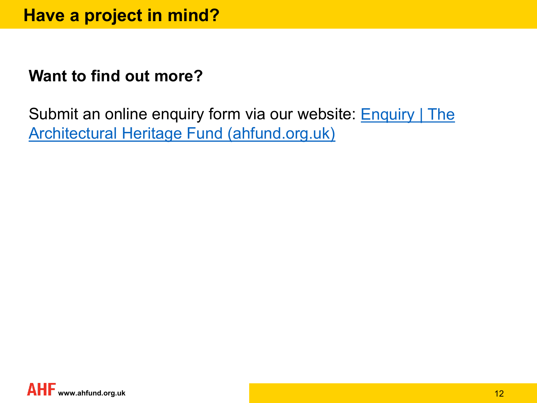## **Want to find out more?**

Submit an online enquiry form via our website: **Enquiry | The** [Architectural Heritage Fund \(ahfund.org.uk\)](https://ahfund.org.uk/enquiry)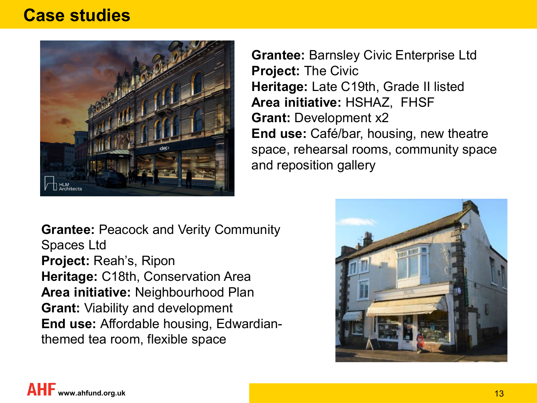#### **Case studies**



**Grantee:** Barnsley Civic Enterprise Ltd **Project:** The Civic **Heritage:** Late C19th, Grade II listed **Area initiative:** HSHAZ, FHSF **Grant: Development x2 End use:** Café/bar, housing, new theatre space, rehearsal rooms, community space and reposition gallery

**Grantee:** Peacock and Verity Community Spaces Ltd **Project:** Reah's, Ripon **Heritage:** C18th, Conservation Area **Area initiative:** Neighbourhood Plan **Grant:** Viability and development **End use:** Affordable housing, Edwardianthemed tea room, flexible space

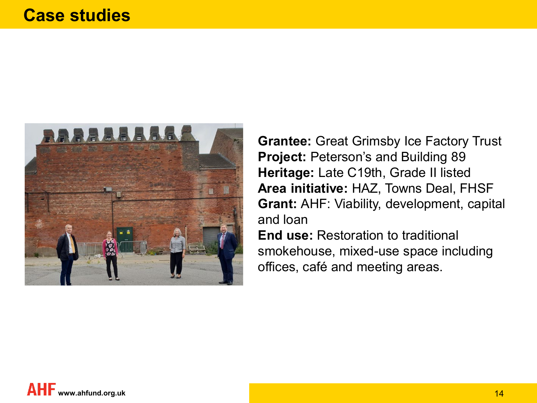

**Grantee:** Great Grimsby Ice Factory Trust **Project: Peterson's and Building 89 Heritage:** Late C19th, Grade II listed **Area initiative:** HAZ, Towns Deal, FHSF **Grant:** AHF: Viability, development, capital and loan

**End use:** Restoration to traditional smokehouse, mixed-use space including offices, café and meeting areas.